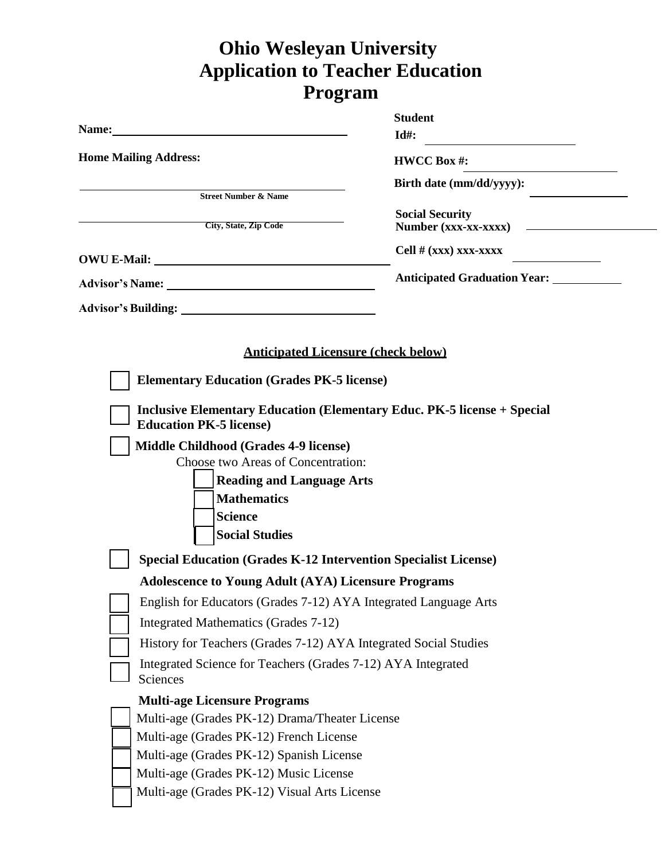## **Ohio Wesleyan University Application to Teacher Education Program**

|                                                                                                                                                                                                                                | <b>Student</b>                                        |  |
|--------------------------------------------------------------------------------------------------------------------------------------------------------------------------------------------------------------------------------|-------------------------------------------------------|--|
| Name: Name: 2008. The contract of the contract of the contract of the contract of the contract of the contract of the contract of the contract of the contract of the contract of the contract of the contract of the contract | $Id#$ :                                               |  |
| <b>Home Mailing Address:</b>                                                                                                                                                                                                   | <b>HWCC Box#:</b>                                     |  |
|                                                                                                                                                                                                                                | Birth date (mm/dd/yyyy):                              |  |
| <b>Street Number &amp; Name</b>                                                                                                                                                                                                |                                                       |  |
| City, State, Zip Code                                                                                                                                                                                                          | <b>Social Security</b><br><b>Number (xxx-xx-xxxx)</b> |  |
|                                                                                                                                                                                                                                |                                                       |  |
|                                                                                                                                                                                                                                | Cell $# (xxx)$ xxx-xxxx                               |  |
|                                                                                                                                                                                                                                | <b>Anticipated Graduation Year:</b> _____________     |  |
|                                                                                                                                                                                                                                |                                                       |  |
|                                                                                                                                                                                                                                |                                                       |  |
| <b>Anticipated Licensure (check below)</b>                                                                                                                                                                                     |                                                       |  |
|                                                                                                                                                                                                                                |                                                       |  |
| <b>Elementary Education (Grades PK-5 license)</b>                                                                                                                                                                              |                                                       |  |
| <b>Inclusive Elementary Education (Elementary Educ. PK-5 license + Special</b>                                                                                                                                                 |                                                       |  |
| <b>Education PK-5 license)</b>                                                                                                                                                                                                 |                                                       |  |
| <b>Middle Childhood (Grades 4-9 license)</b>                                                                                                                                                                                   |                                                       |  |
| Choose two Areas of Concentration:                                                                                                                                                                                             |                                                       |  |
| <b>Reading and Language Arts</b>                                                                                                                                                                                               |                                                       |  |
| <b>Mathematics</b>                                                                                                                                                                                                             |                                                       |  |
| <b>Science</b>                                                                                                                                                                                                                 |                                                       |  |
| <b>Social Studies</b>                                                                                                                                                                                                          |                                                       |  |
| <b>Special Education (Grades K-12 Intervention Specialist License)</b>                                                                                                                                                         |                                                       |  |
| <b>Adolescence to Young Adult (AYA) Licensure Programs</b>                                                                                                                                                                     |                                                       |  |
| English for Educators (Grades 7-12) AYA Integrated Language Arts                                                                                                                                                               |                                                       |  |
| Integrated Mathematics (Grades 7-12)                                                                                                                                                                                           |                                                       |  |
| History for Teachers (Grades 7-12) AYA Integrated Social Studies                                                                                                                                                               |                                                       |  |
| Integrated Science for Teachers (Grades 7-12) AYA Integrated                                                                                                                                                                   |                                                       |  |
| Sciences                                                                                                                                                                                                                       |                                                       |  |
| <b>Multi-age Licensure Programs</b>                                                                                                                                                                                            |                                                       |  |
| Multi-age (Grades PK-12) Drama/Theater License                                                                                                                                                                                 |                                                       |  |
| Multi-age (Grades PK-12) French License                                                                                                                                                                                        |                                                       |  |
| Multi-age (Grades PK-12) Spanish License                                                                                                                                                                                       |                                                       |  |
| Multi-age (Grades PK-12) Music License                                                                                                                                                                                         |                                                       |  |
| Multi-age (Grades PK-12) Visual Arts License                                                                                                                                                                                   |                                                       |  |
|                                                                                                                                                                                                                                |                                                       |  |